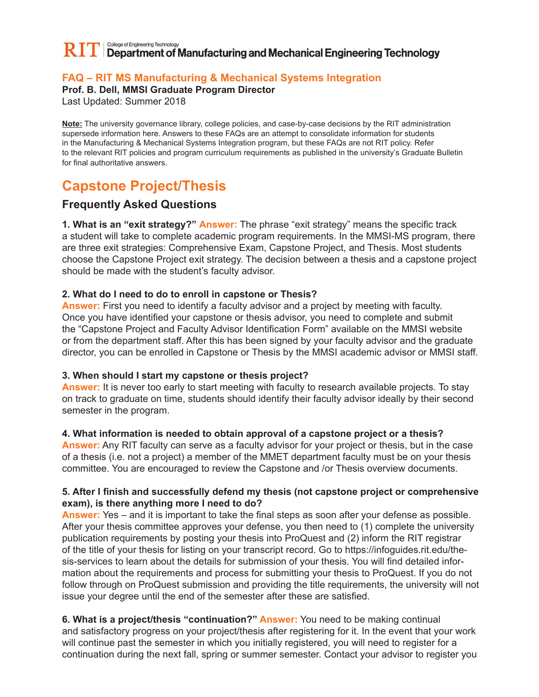#### College of Engineering Technology  $\bf R\Gamma\Gamma$  Department of Manufacturing and Mechanical Engineering Technology

# **FAQ – RIT MS Manufacturing & Mechanical Systems Integration**

**Prof. B. Dell, MMSI Graduate Program Director**

Last Updated: Summer 2018

**Note:** The university governance library, college policies, and case-by-case decisions by the RIT administration supersede information here. Answers to these FAQs are an attempt to consolidate information for students in the Manufacturing & Mechanical Systems Integration program, but these FAQs are not RIT policy. Refer to the relevant RIT policies and program curriculum requirements as published in the university's Graduate Bulletin for final authoritative answers.

# **Capstone Project/Thesis**

## **Frequently Asked Questions**

**1. What is an "exit strategy?" Answer:** The phrase "exit strategy" means the specific track a student will take to complete academic program requirements. In the MMSI-MS program, there are three exit strategies: Comprehensive Exam, Capstone Project, and Thesis. Most students choose the Capstone Project exit strategy. The decision between a thesis and a capstone project should be made with the student's faculty advisor.

## **2. What do I need to do to enroll in capstone or Thesis?**

**Answer:** First you need to identify a faculty advisor and a project by meeting with faculty. Once you have identified your capstone or thesis advisor, you need to complete and submit the "Capstone Project and Faculty Advisor Identification Form" available on the MMSI website or from the department staff. After this has been signed by your faculty advisor and the graduate director, you can be enrolled in Capstone or Thesis by the MMSI academic advisor or MMSI staff.

## **3. When should I start my capstone or thesis project?**

**Answer:** It is never too early to start meeting with faculty to research available projects. To stay on track to graduate on time, students should identify their faculty advisor ideally by their second semester in the program.

## **4. What information is needed to obtain approval of a capstone project or a thesis?**

**Answer:** Any RIT faculty can serve as a faculty advisor for your project or thesis, but in the case of a thesis (i.e. not a project) a member of the MMET department faculty must be on your thesis committee. You are encouraged to review the Capstone and /or Thesis overview documents.

## **5. After I finish and successfully defend my thesis (not capstone project or comprehensive exam), is there anything more I need to do?**

**Answer:** Yes – and it is important to take the final steps as soon after your defense as possible. After your thesis committee approves your defense, you then need to (1) complete the university publication requirements by posting your thesis into ProQuest and (2) inform the RIT registrar of the title of your thesis for listing on your transcript record. Go to https://infoguides.rit.edu/thesis-services to learn about the details for submission of your thesis. You will find detailed information about the requirements and process for submitting your thesis to ProQuest. If you do not follow through on ProQuest submission and providing the title requirements, the university will not issue your degree until the end of the semester after these are satisfied.

**6. What is a project/thesis "continuation?" Answer:** You need to be making continual and satisfactory progress on your project/thesis after registering for it. In the event that your work will continue past the semester in which you initially registered, you will need to register for a continuation during the next fall, spring or summer semester. Contact your advisor to register you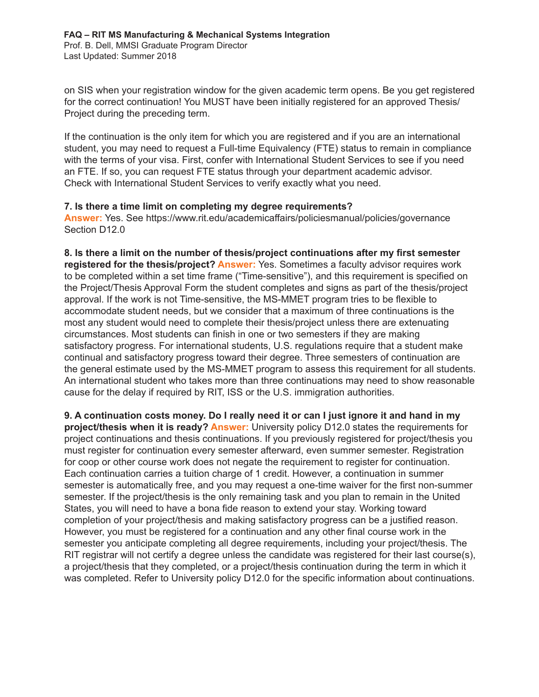on SIS when your registration window for the given academic term opens. Be you get registered for the correct continuation! You MUST have been initially registered for an approved Thesis/ Project during the preceding term.

If the continuation is the only item for which you are registered and if you are an international student, you may need to request a Full-time Equivalency (FTE) status to remain in compliance with the terms of your visa. First, confer with International Student Services to see if you need an FTE. If so, you can request FTE status through your department academic advisor. Check with International Student Services to verify exactly what you need.

#### **7. Is there a time limit on completing my degree requirements?**

**Answer:** Yes. See https://www.rit.edu/academicaffairs/policiesmanual/policies/governance Section D12.0

**8. Is there a limit on the number of thesis/project continuations after my first semester registered for the thesis/project? Answer:** Yes. Sometimes a faculty advisor requires work to be completed within a set time frame ("Time-sensitive"), and this requirement is specified on the Project/Thesis Approval Form the student completes and signs as part of the thesis/project approval. If the work is not Time-sensitive, the MS-MMET program tries to be flexible to accommodate student needs, but we consider that a maximum of three continuations is the most any student would need to complete their thesis/project unless there are extenuating circumstances. Most students can finish in one or two semesters if they are making satisfactory progress. For international students, U.S. regulations require that a student make continual and satisfactory progress toward their degree. Three semesters of continuation are the general estimate used by the MS-MMET program to assess this requirement for all students. An international student who takes more than three continuations may need to show reasonable cause for the delay if required by RIT, ISS or the U.S. immigration authorities.

**9. A continuation costs money. Do I really need it or can I just ignore it and hand in my project/thesis when it is ready? Answer:** University policy D12.0 states the requirements for project continuations and thesis continuations. If you previously registered for project/thesis you must register for continuation every semester afterward, even summer semester. Registration for coop or other course work does not negate the requirement to register for continuation. Each continuation carries a tuition charge of 1 credit. However, a continuation in summer semester is automatically free, and you may request a one-time waiver for the first non-summer semester. If the project/thesis is the only remaining task and you plan to remain in the United States, you will need to have a bona fide reason to extend your stay. Working toward completion of your project/thesis and making satisfactory progress can be a justified reason. However, you must be registered for a continuation and any other final course work in the semester you anticipate completing all degree requirements, including your project/thesis. The RIT registrar will not certify a degree unless the candidate was registered for their last course(s), a project/thesis that they completed, or a project/thesis continuation during the term in which it was completed. Refer to University policy D12.0 for the specific information about continuations.